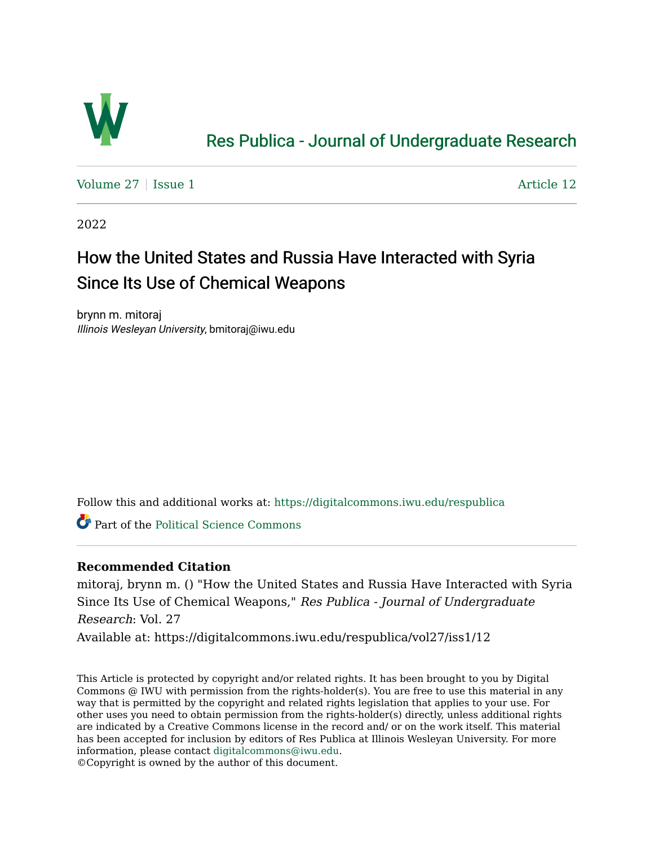

## [Res Publica - Journal of Undergraduate Research](https://digitalcommons.iwu.edu/respublica)

Volume  $27 \mid$  [Issue 1](https://digitalcommons.iwu.edu/respublica/vol27/iss1)  $\blacktriangle$ 

2022

## How the United States and Russia Have Interacted with Syria Since Its Use of Chemical Weapons

brynn m. mitoraj Illinois Wesleyan University, bmitoraj@iwu.edu

Follow this and additional works at: [https://digitalcommons.iwu.edu/respublica](https://digitalcommons.iwu.edu/respublica?utm_source=digitalcommons.iwu.edu%2Frespublica%2Fvol27%2Fiss1%2F12&utm_medium=PDF&utm_campaign=PDFCoverPages) 

**C** Part of the [Political Science Commons](http://network.bepress.com/hgg/discipline/386?utm_source=digitalcommons.iwu.edu%2Frespublica%2Fvol27%2Fiss1%2F12&utm_medium=PDF&utm_campaign=PDFCoverPages)

#### **Recommended Citation**

mitoraj, brynn m. () "How the United States and Russia Have Interacted with Syria Since Its Use of Chemical Weapons," Res Publica - Journal of Undergraduate Research: Vol. 27

Available at: https://digitalcommons.iwu.edu/respublica/vol27/iss1/12

This Article is protected by copyright and/or related rights. It has been brought to you by Digital Commons @ IWU with permission from the rights-holder(s). You are free to use this material in any way that is permitted by the copyright and related rights legislation that applies to your use. For other uses you need to obtain permission from the rights-holder(s) directly, unless additional rights are indicated by a Creative Commons license in the record and/ or on the work itself. This material has been accepted for inclusion by editors of Res Publica at Illinois Wesleyan University. For more information, please contact [digitalcommons@iwu.edu.](mailto:digitalcommons@iwu.edu)

©Copyright is owned by the author of this document.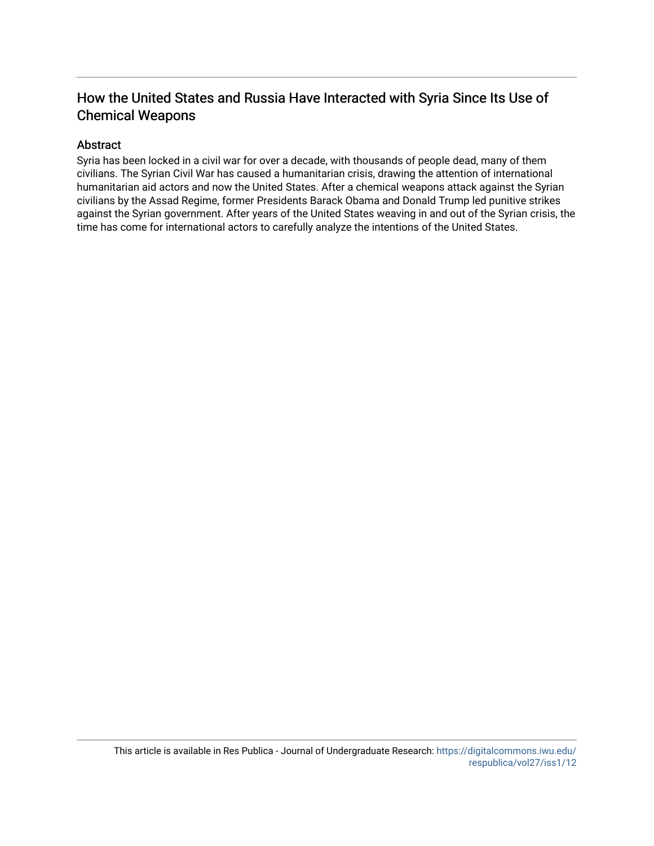### How the United States and Russia Have Interacted with Syria Since Its Use of Chemical Weapons

#### Abstract

Syria has been locked in a civil war for over a decade, with thousands of people dead, many of them civilians. The Syrian Civil War has caused a humanitarian crisis, drawing the attention of international humanitarian aid actors and now the United States. After a chemical weapons attack against the Syrian civilians by the Assad Regime, former Presidents Barack Obama and Donald Trump led punitive strikes against the Syrian government. After years of the United States weaving in and out of the Syrian crisis, the time has come for international actors to carefully analyze the intentions of the United States.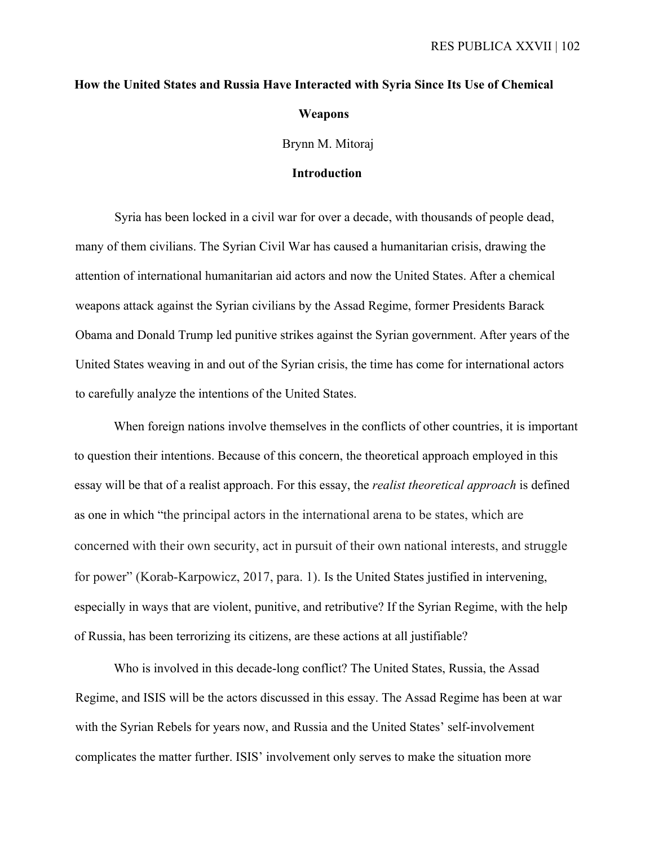# **How the United States and Russia Have Interacted with Syria Since Its Use of Chemical Weapons**

Brynn M. Mitoraj

#### **Introduction**

Syria has been locked in a civil war for over a decade, with thousands of people dead, many of them civilians. The Syrian Civil War has caused a humanitarian crisis, drawing the attention of international humanitarian aid actors and now the United States. After a chemical weapons attack against the Syrian civilians by the Assad Regime, former Presidents Barack Obama and Donald Trump led punitive strikes against the Syrian government. After years of the United States weaving in and out of the Syrian crisis, the time has come for international actors to carefully analyze the intentions of the United States.

When foreign nations involve themselves in the conflicts of other countries, it is important to question their intentions. Because of this concern, the theoretical approach employed in this essay will be that of a realist approach. For this essay, the *realist theoretical approach* is defined as one in which "the principal actors in the international arena to be states, which are concerned with their own security, act in pursuit of their own national interests, and struggle for power" (Korab-Karpowicz, 2017, para. 1). Is the United States justified in intervening, especially in ways that are violent, punitive, and retributive? If the Syrian Regime, with the help of Russia, has been terrorizing its citizens, are these actions at all justifiable?

Who is involved in this decade-long conflict? The United States, Russia, the Assad Regime, and ISIS will be the actors discussed in this essay. The Assad Regime has been at war with the Syrian Rebels for years now, and Russia and the United States' self-involvement complicates the matter further. ISIS' involvement only serves to make the situation more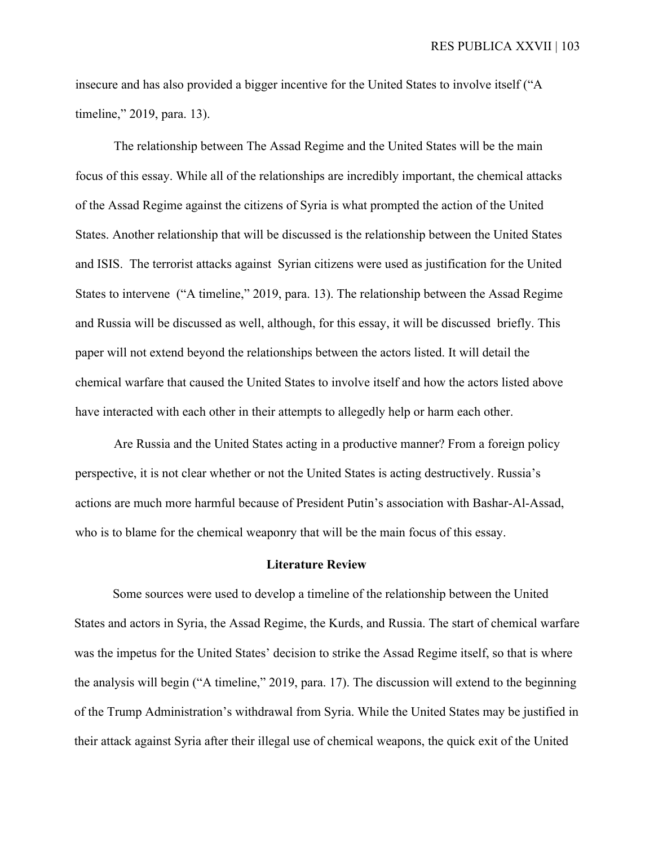insecure and has also provided a bigger incentive for the United States to involve itself ("A timeline," 2019, para. 13).

The relationship between The Assad Regime and the United States will be the main focus of this essay. While all of the relationships are incredibly important, the chemical attacks of the Assad Regime against the citizens of Syria is what prompted the action of the United States. Another relationship that will be discussed is the relationship between the United States and ISIS. The terrorist attacks against Syrian citizens were used as justification for the United States to intervene ("A timeline," 2019, para. 13). The relationship between the Assad Regime and Russia will be discussed as well, although, for this essay, it will be discussed briefly. This paper will not extend beyond the relationships between the actors listed. It will detail the chemical warfare that caused the United States to involve itself and how the actors listed above have interacted with each other in their attempts to allegedly help or harm each other.

Are Russia and the United States acting in a productive manner? From a foreign policy perspective, it is not clear whether or not the United States is acting destructively. Russia's actions are much more harmful because of President Putin's association with Bashar-Al-Assad, who is to blame for the chemical weaponry that will be the main focus of this essay.

#### **Literature Review**

Some sources were used to develop a timeline of the relationship between the United States and actors in Syria, the Assad Regime, the Kurds, and Russia. The start of chemical warfare was the impetus for the United States' decision to strike the Assad Regime itself, so that is where the analysis will begin ("A timeline," 2019, para. 17). The discussion will extend to the beginning of the Trump Administration's withdrawal from Syria. While the United States may be justified in their attack against Syria after their illegal use of chemical weapons, the quick exit of the United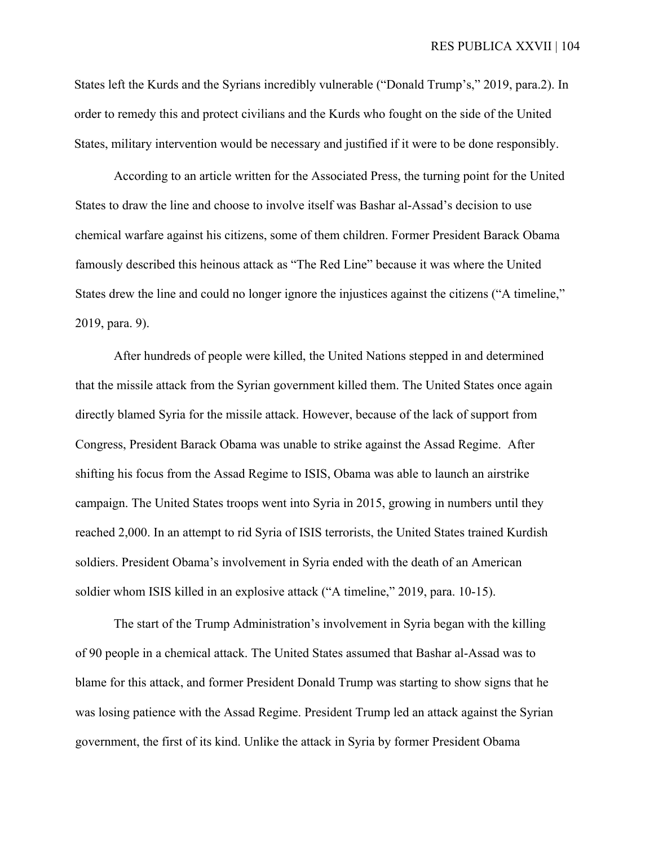States left the Kurds and the Syrians incredibly vulnerable ("Donald Trump's," 2019, para.2). In order to remedy this and protect civilians and the Kurds who fought on the side of the United States, military intervention would be necessary and justified if it were to be done responsibly.

According to an article written for the Associated Press, the turning point for the United States to draw the line and choose to involve itself was Bashar al-Assad's decision to use chemical warfare against his citizens, some of them children. Former President Barack Obama famously described this heinous attack as "The Red Line" because it was where the United States drew the line and could no longer ignore the injustices against the citizens ("A timeline," 2019, para. 9).

After hundreds of people were killed, the United Nations stepped in and determined that the missile attack from the Syrian government killed them. The United States once again directly blamed Syria for the missile attack. However, because of the lack of support from Congress, President Barack Obama was unable to strike against the Assad Regime. After shifting his focus from the Assad Regime to ISIS, Obama was able to launch an airstrike campaign. The United States troops went into Syria in 2015, growing in numbers until they reached 2,000. In an attempt to rid Syria of ISIS terrorists, the United States trained Kurdish soldiers. President Obama's involvement in Syria ended with the death of an American soldier whom ISIS killed in an explosive attack ("A timeline," 2019, para. 10-15).

The start of the Trump Administration's involvement in Syria began with the killing of 90 people in a chemical attack. The United States assumed that Bashar al-Assad was to blame for this attack, and former President Donald Trump was starting to show signs that he was losing patience with the Assad Regime. President Trump led an attack against the Syrian government, the first of its kind. Unlike the attack in Syria by former President Obama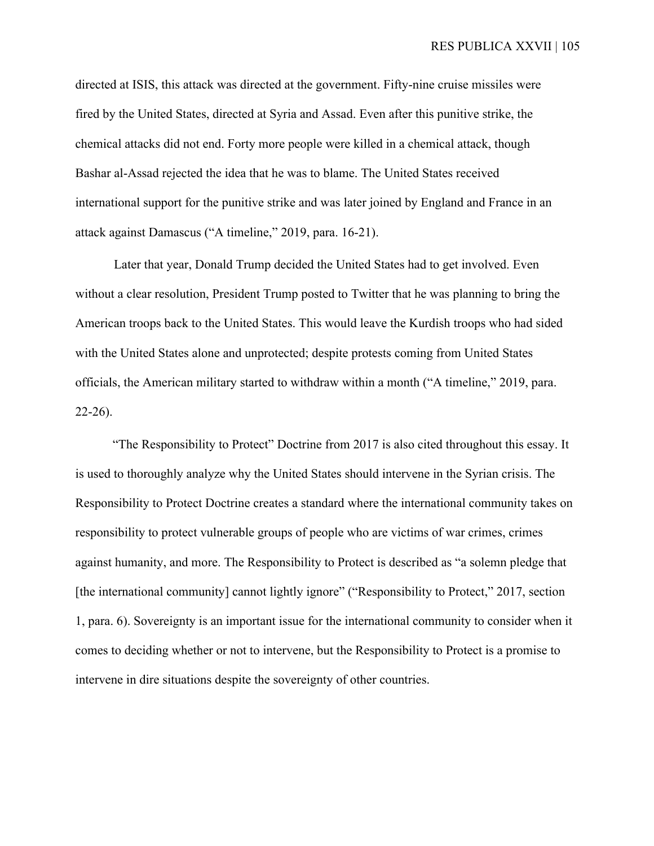directed at ISIS, this attack was directed at the government. Fifty-nine cruise missiles were fired by the United States, directed at Syria and Assad. Even after this punitive strike, the chemical attacks did not end. Forty more people were killed in a chemical attack, though Bashar al-Assad rejected the idea that he was to blame. The United States received international support for the punitive strike and was later joined by England and France in an attack against Damascus ("A timeline," 2019, para. 16-21).

Later that year, Donald Trump decided the United States had to get involved. Even without a clear resolution, President Trump posted to Twitter that he was planning to bring the American troops back to the United States. This would leave the Kurdish troops who had sided with the United States alone and unprotected; despite protests coming from United States officials, the American military started to withdraw within a month ("A timeline," 2019, para. 22-26).

"The Responsibility to Protect" Doctrine from 2017 is also cited throughout this essay. It is used to thoroughly analyze why the United States should intervene in the Syrian crisis. The Responsibility to Protect Doctrine creates a standard where the international community takes on responsibility to protect vulnerable groups of people who are victims of war crimes, crimes against humanity, and more. The Responsibility to Protect is described as "a solemn pledge that [the international community] cannot lightly ignore" ("Responsibility to Protect," 2017, section 1, para. 6). Sovereignty is an important issue for the international community to consider when it comes to deciding whether or not to intervene, but the Responsibility to Protect is a promise to intervene in dire situations despite the sovereignty of other countries.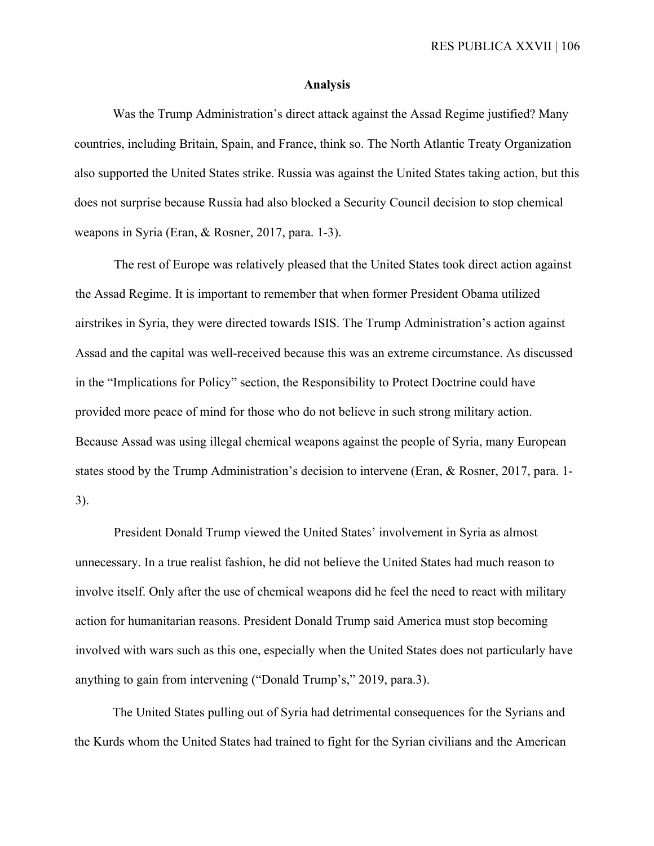#### **Analysis**

Was the Trump Administration's direct attack against the Assad Regime justified? Many countries, including Britain, Spain, and France, think so. The North Atlantic Treaty Organization also supported the United States strike. Russia was against the United States taking action, but this does not surprise because Russia had also blocked a Security Council decision to stop chemical weapons in Syria (Eran, & Rosner, 2017, para. 1-3).

The rest of Europe was relatively pleased that the United States took direct action against the Assad Regime. It is important to remember that when former President Obama utilized airstrikes in Syria, they were directed towards ISIS. The Trump Administration's action against Assad and the capital was well-received because this was an extreme circumstance. As discussed in the "Implications for Policy" section, the Responsibility to Protect Doctrine could have provided more peace of mind for those who do not believe in such strong military action. Because Assad was using illegal chemical weapons against the people of Syria, many European states stood by the Trump Administration's decision to intervene (Eran, & Rosner, 2017, para. 1- 3).

President Donald Trump viewed the United States' involvement in Syria as almost unnecessary. In a true realist fashion, he did not believe the United States had much reason to involve itself. Only after the use of chemical weapons did he feel the need to react with military action for humanitarian reasons. President Donald Trump said America must stop becoming involved with wars such as this one, especially when the United States does not particularly have anything to gain from intervening ("Donald Trump's," 2019, para.3).

The United States pulling out of Syria had detrimental consequences for the Syrians and the Kurds whom the United States had trained to fight for the Syrian civilians and the American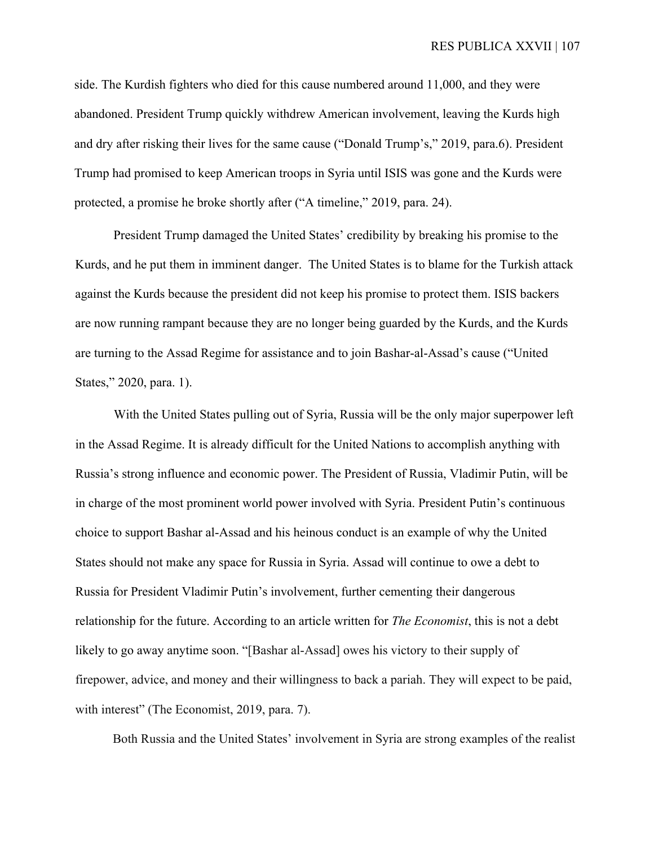RES PUBLICA XXVII | 107

side. The Kurdish fighters who died for this cause numbered around 11,000, and they were abandoned. President Trump quickly withdrew American involvement, leaving the Kurds high and dry after risking their lives for the same cause ("Donald Trump's," 2019, para.6). President Trump had promised to keep American troops in Syria until ISIS was gone and the Kurds were protected, a promise he broke shortly after ("A timeline," 2019, para. 24).

President Trump damaged the United States' credibility by breaking his promise to the Kurds, and he put them in imminent danger. The United States is to blame for the Turkish attack against the Kurds because the president did not keep his promise to protect them. ISIS backers are now running rampant because they are no longer being guarded by the Kurds, and the Kurds are turning to the Assad Regime for assistance and to join Bashar-al-Assad's cause ("United States," 2020, para. 1).

With the United States pulling out of Syria, Russia will be the only major superpower left in the Assad Regime. It is already difficult for the United Nations to accomplish anything with Russia's strong influence and economic power. The President of Russia, Vladimir Putin, will be in charge of the most prominent world power involved with Syria. President Putin's continuous choice to support Bashar al-Assad and his heinous conduct is an example of why the United States should not make any space for Russia in Syria. Assad will continue to owe a debt to Russia for President Vladimir Putin's involvement, further cementing their dangerous relationship for the future. According to an article written for *The Economist*, this is not a debt likely to go away anytime soon. "[Bashar al-Assad] owes his victory to their supply of firepower, advice, and money and their willingness to back a pariah. They will expect to be paid, with interest" (The Economist, 2019, para. 7).

Both Russia and the United States' involvement in Syria are strong examples of the realist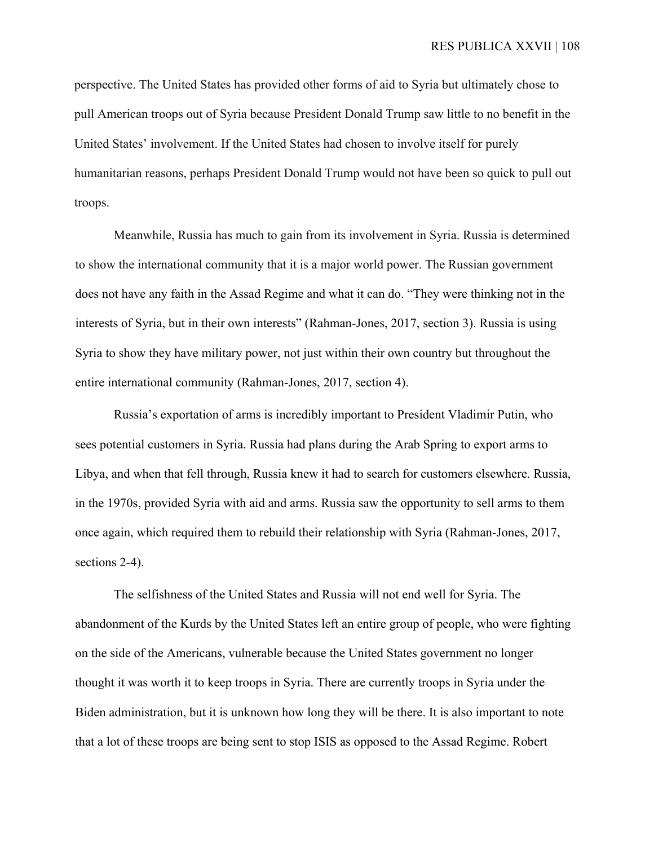perspective. The United States has provided other forms of aid to Syria but ultimately chose to pull American troops out of Syria because President Donald Trump saw little to no benefit in the United States' involvement. If the United States had chosen to involve itself for purely humanitarian reasons, perhaps President Donald Trump would not have been so quick to pull out troops.

Meanwhile, Russia has much to gain from its involvement in Syria. Russia is determined to show the international community that it is a major world power. The Russian government does not have any faith in the Assad Regime and what it can do. "They were thinking not in the interests of Syria, but in their own interests" (Rahman-Jones, 2017, section 3). Russia is using Syria to show they have military power, not just within their own country but throughout the entire international community (Rahman-Jones, 2017, section 4).

Russia's exportation of arms is incredibly important to President Vladimir Putin, who sees potential customers in Syria. Russia had plans during the Arab Spring to export arms to Libya, and when that fell through, Russia knew it had to search for customers elsewhere. Russia, in the 1970s, provided Syria with aid and arms. Russia saw the opportunity to sell arms to them once again, which required them to rebuild their relationship with Syria (Rahman-Jones, 2017, sections 2-4).

The selfishness of the United States and Russia will not end well for Syria. The abandonment of the Kurds by the United States left an entire group of people, who were fighting on the side of the Americans, vulnerable because the United States government no longer thought it was worth it to keep troops in Syria. There are currently troops in Syria under the Biden administration, but it is unknown how long they will be there. It is also important to note that a lot of these troops are being sent to stop ISIS as opposed to the Assad Regime. Robert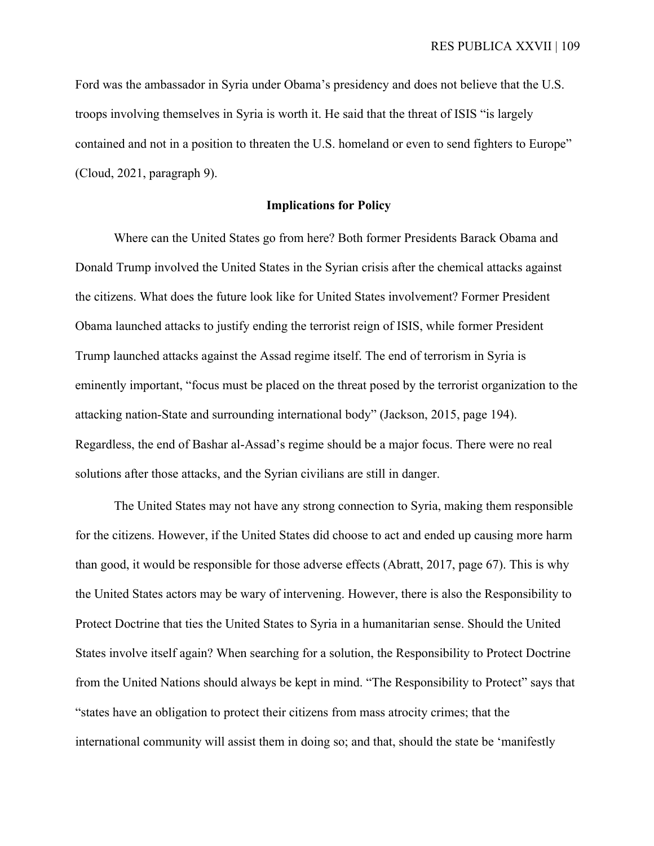Ford was the ambassador in Syria under Obama's presidency and does not believe that the U.S. troops involving themselves in Syria is worth it. He said that the threat of ISIS "is largely contained and not in a position to threaten the U.S. homeland or even to send fighters to Europe" (Cloud, 2021, paragraph 9).

#### **Implications for Policy**

Where can the United States go from here? Both former Presidents Barack Obama and Donald Trump involved the United States in the Syrian crisis after the chemical attacks against the citizens. What does the future look like for United States involvement? Former President Obama launched attacks to justify ending the terrorist reign of ISIS, while former President Trump launched attacks against the Assad regime itself. The end of terrorism in Syria is eminently important, "focus must be placed on the threat posed by the terrorist organization to the attacking nation-State and surrounding international body" (Jackson, 2015, page 194). Regardless, the end of Bashar al-Assad's regime should be a major focus. There were no real solutions after those attacks, and the Syrian civilians are still in danger.

The United States may not have any strong connection to Syria, making them responsible for the citizens. However, if the United States did choose to act and ended up causing more harm than good, it would be responsible for those adverse effects (Abratt, 2017, page 67). This is why the United States actors may be wary of intervening. However, there is also the Responsibility to Protect Doctrine that ties the United States to Syria in a humanitarian sense. Should the United States involve itself again? When searching for a solution, the Responsibility to Protect Doctrine from the United Nations should always be kept in mind. "The Responsibility to Protect" says that "states have an obligation to protect their citizens from mass atrocity crimes; that the international community will assist them in doing so; and that, should the state be 'manifestly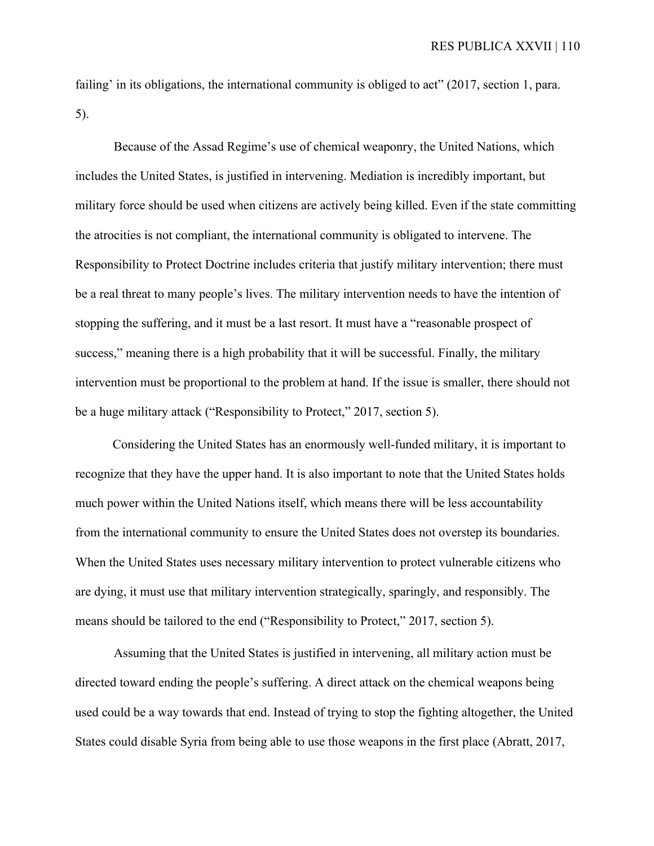failing' in its obligations, the international community is obliged to act" (2017, section 1, para. 5).

Because of the Assad Regime's use of chemical weaponry, the United Nations, which includes the United States, is justified in intervening. Mediation is incredibly important, but military force should be used when citizens are actively being killed. Even if the state committing the atrocities is not compliant, the international community is obligated to intervene. The Responsibility to Protect Doctrine includes criteria that justify military intervention; there must be a real threat to many people's lives. The military intervention needs to have the intention of stopping the suffering, and it must be a last resort. It must have a "reasonable prospect of success," meaning there is a high probability that it will be successful. Finally, the military intervention must be proportional to the problem at hand. If the issue is smaller, there should not be a huge military attack ("Responsibility to Protect," 2017, section 5).

Considering the United States has an enormously well-funded military, it is important to recognize that they have the upper hand. It is also important to note that the United States holds much power within the United Nations itself, which means there will be less accountability from the international community to ensure the United States does not overstep its boundaries. When the United States uses necessary military intervention to protect vulnerable citizens who are dying, it must use that military intervention strategically, sparingly, and responsibly. The means should be tailored to the end ("Responsibility to Protect," 2017, section 5).

Assuming that the United States is justified in intervening, all military action must be directed toward ending the people's suffering. A direct attack on the chemical weapons being used could be a way towards that end. Instead of trying to stop the fighting altogether, the United States could disable Syria from being able to use those weapons in the first place (Abratt, 2017,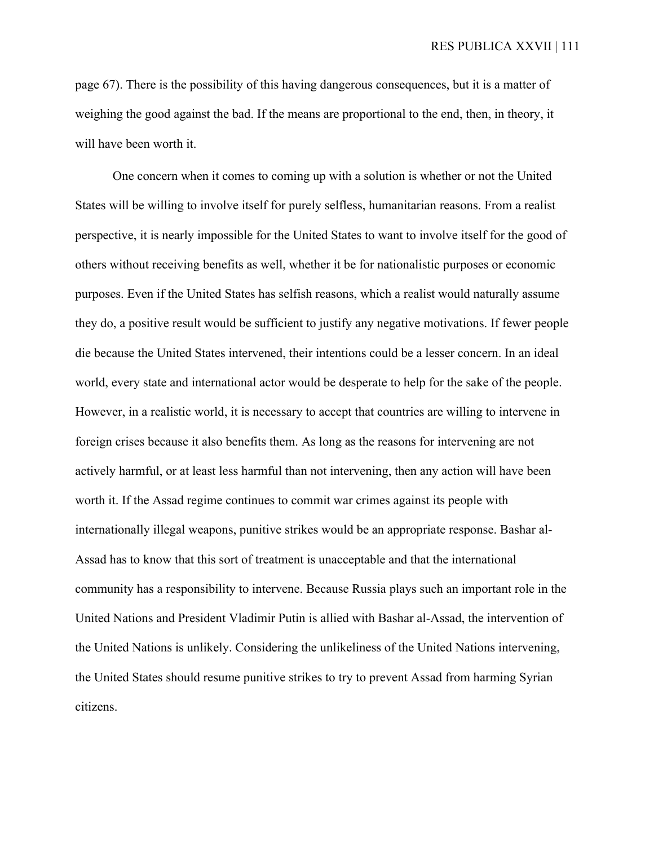page 67). There is the possibility of this having dangerous consequences, but it is a matter of weighing the good against the bad. If the means are proportional to the end, then, in theory, it will have been worth it.

One concern when it comes to coming up with a solution is whether or not the United States will be willing to involve itself for purely selfless, humanitarian reasons. From a realist perspective, it is nearly impossible for the United States to want to involve itself for the good of others without receiving benefits as well, whether it be for nationalistic purposes or economic purposes. Even if the United States has selfish reasons, which a realist would naturally assume they do, a positive result would be sufficient to justify any negative motivations. If fewer people die because the United States intervened, their intentions could be a lesser concern. In an ideal world, every state and international actor would be desperate to help for the sake of the people. However, in a realistic world, it is necessary to accept that countries are willing to intervene in foreign crises because it also benefits them. As long as the reasons for intervening are not actively harmful, or at least less harmful than not intervening, then any action will have been worth it. If the Assad regime continues to commit war crimes against its people with internationally illegal weapons, punitive strikes would be an appropriate response. Bashar al-Assad has to know that this sort of treatment is unacceptable and that the international community has a responsibility to intervene. Because Russia plays such an important role in the United Nations and President Vladimir Putin is allied with Bashar al-Assad, the intervention of the United Nations is unlikely. Considering the unlikeliness of the United Nations intervening, the United States should resume punitive strikes to try to prevent Assad from harming Syrian citizens.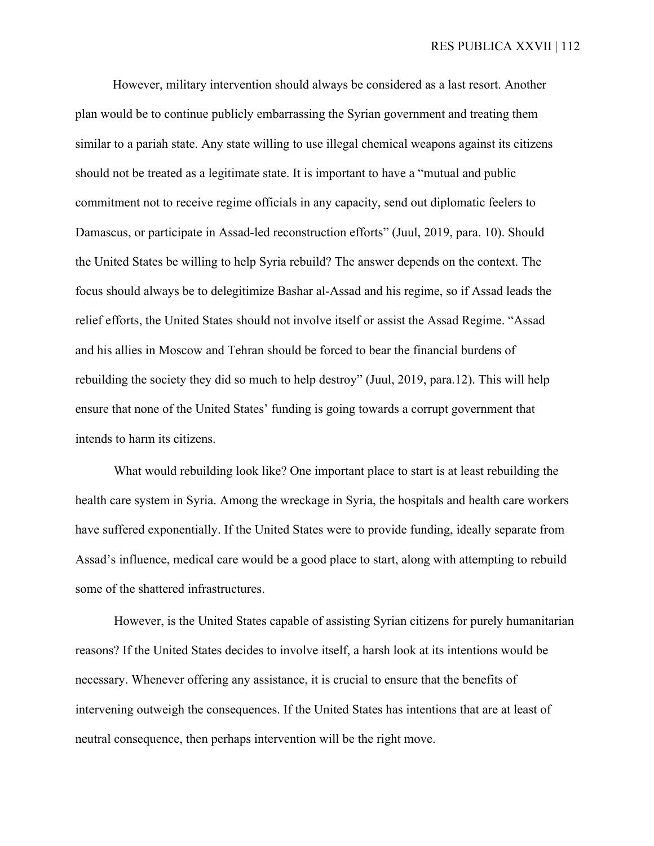However, military intervention should always be considered as a last resort. Another plan would be to continue publicly embarrassing the Syrian government and treating them similar to a pariah state. Any state willing to use illegal chemical weapons against its citizens should not be treated as a legitimate state. It is important to have a "mutual and public commitment not to receive regime officials in any capacity, send out diplomatic feelers to Damascus, or participate in Assad-led reconstruction efforts" (Juul, 2019, para. 10). Should the United States be willing to help Syria rebuild? The answer depends on the context. The focus should always be to delegitimize Bashar al-Assad and his regime, so if Assad leads the relief efforts, the United States should not involve itself or assist the Assad Regime. "Assad and his allies in Moscow and Tehran should be forced to bear the financial burdens of rebuilding the society they did so much to help destroy" (Juul, 2019, para.12). This will help ensure that none of the United States' funding is going towards a corrupt government that intends to harm its citizens.

What would rebuilding look like? One important place to start is at least rebuilding the health care system in Syria. Among the wreckage in Syria, the hospitals and health care workers have suffered exponentially. If the United States were to provide funding, ideally separate from Assad's influence, medical care would be a good place to start, along with attempting to rebuild some of the shattered infrastructures.

However, is the United States capable of assisting Syrian citizens for purely humanitarian reasons? If the United States decides to involve itself, a harsh look at its intentions would be necessary. Whenever offering any assistance, it is crucial to ensure that the benefits of intervening outweigh the consequences. If the United States has intentions that are at least of neutral consequence, then perhaps intervention will be the right move.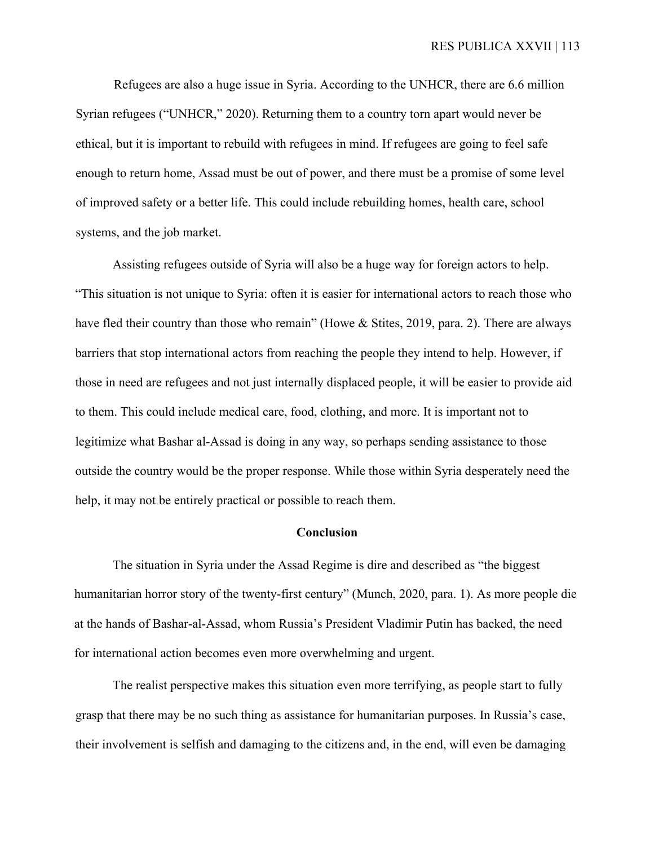Refugees are also a huge issue in Syria. According to the UNHCR, there are 6.6 million Syrian refugees ("UNHCR," 2020). Returning them to a country torn apart would never be ethical, but it is important to rebuild with refugees in mind. If refugees are going to feel safe enough to return home, Assad must be out of power, and there must be a promise of some level of improved safety or a better life. This could include rebuilding homes, health care, school systems, and the job market.

Assisting refugees outside of Syria will also be a huge way for foreign actors to help. "This situation is not unique to Syria: often it is easier for international actors to reach those who have fled their country than those who remain" (Howe & Stites, 2019, para. 2). There are always barriers that stop international actors from reaching the people they intend to help. However, if those in need are refugees and not just internally displaced people, it will be easier to provide aid to them. This could include medical care, food, clothing, and more. It is important not to legitimize what Bashar al-Assad is doing in any way, so perhaps sending assistance to those outside the country would be the proper response. While those within Syria desperately need the help, it may not be entirely practical or possible to reach them.

#### **Conclusion**

The situation in Syria under the Assad Regime is dire and described as "the biggest humanitarian horror story of the twenty-first century" (Munch, 2020, para. 1). As more people die at the hands of Bashar-al-Assad, whom Russia's President Vladimir Putin has backed, the need for international action becomes even more overwhelming and urgent.

The realist perspective makes this situation even more terrifying, as people start to fully grasp that there may be no such thing as assistance for humanitarian purposes. In Russia's case, their involvement is selfish and damaging to the citizens and, in the end, will even be damaging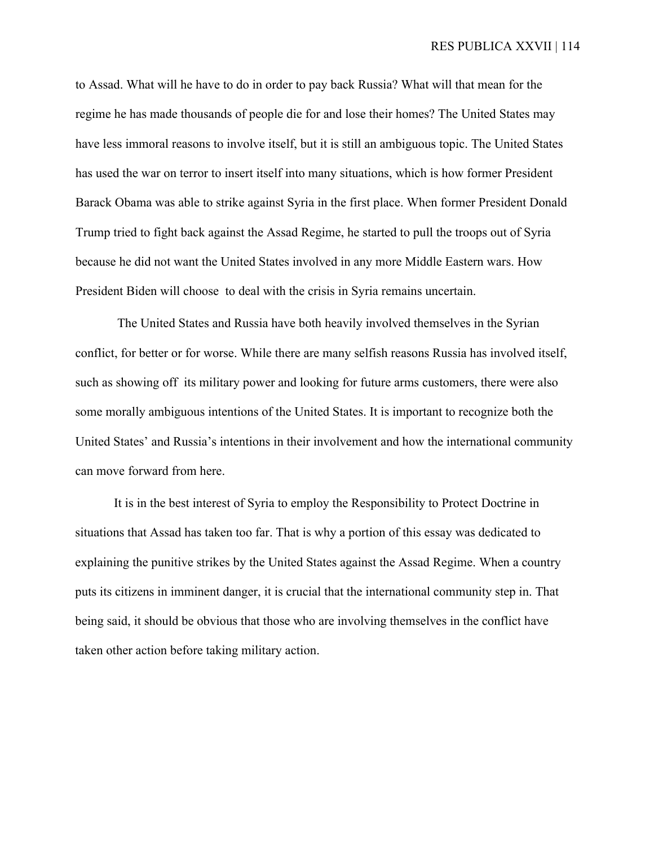to Assad. What will he have to do in order to pay back Russia? What will that mean for the regime he has made thousands of people die for and lose their homes? The United States may have less immoral reasons to involve itself, but it is still an ambiguous topic. The United States has used the war on terror to insert itself into many situations, which is how former President Barack Obama was able to strike against Syria in the first place. When former President Donald Trump tried to fight back against the Assad Regime, he started to pull the troops out of Syria because he did not want the United States involved in any more Middle Eastern wars. How President Biden will choose to deal with the crisis in Syria remains uncertain.

The United States and Russia have both heavily involved themselves in the Syrian conflict, for better or for worse. While there are many selfish reasons Russia has involved itself, such as showing off its military power and looking for future arms customers, there were also some morally ambiguous intentions of the United States. It is important to recognize both the United States' and Russia's intentions in their involvement and how the international community can move forward from here.

It is in the best interest of Syria to employ the Responsibility to Protect Doctrine in situations that Assad has taken too far. That is why a portion of this essay was dedicated to explaining the punitive strikes by the United States against the Assad Regime. When a country puts its citizens in imminent danger, it is crucial that the international community step in. That being said, it should be obvious that those who are involving themselves in the conflict have taken other action before taking military action.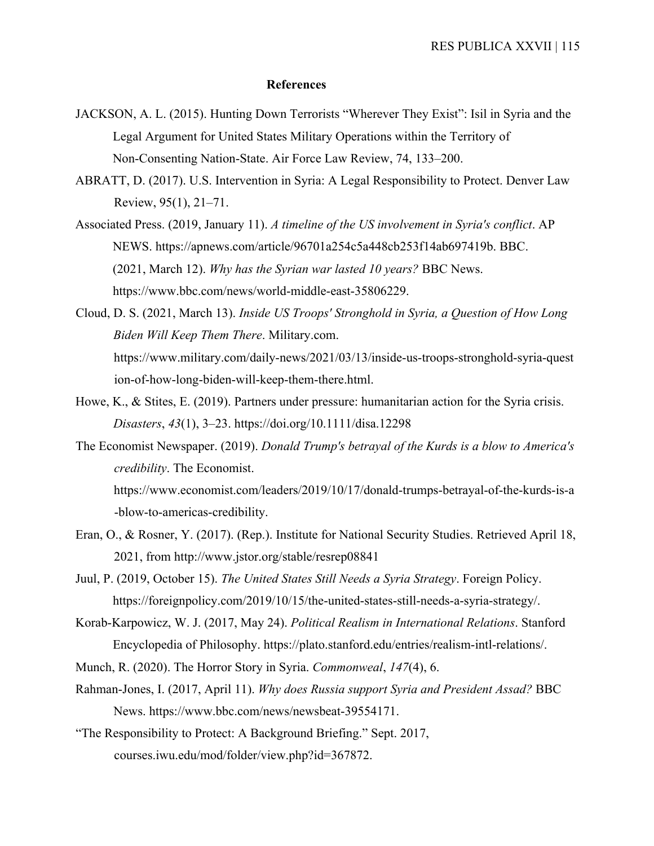#### **References**

- JACKSON, A. L. (2015). Hunting Down Terrorists "Wherever They Exist": Isil in Syria and the Legal Argument for United States Military Operations within the Territory of Non-Consenting Nation-State. Air Force Law Review, 74, 133–200.
- ABRATT, D. (2017). U.S. Intervention in Syria: A Legal Responsibility to Protect. Denver Law Review, 95(1), 21–71.
- Associated Press. (2019, January 11). *A timeline of the US involvement in Syria's conflict*. AP NEWS. https://apnews.com/article/96701a254c5a448cb253f14ab697419b. BBC. (2021, March 12). *Why has the Syrian war lasted 10 years?* BBC News. https://www.bbc.com/news/world-middle-east-35806229.
- Cloud, D. S. (2021, March 13). *Inside US Troops' Stronghold in Syria, a Question of How Long Biden Will Keep Them There*. Military.com. https://www.military.com/daily-news/2021/03/13/inside-us-troops-stronghold-syria-quest ion-of-how-long-biden-will-keep-them-there.html.
- Howe, K., & Stites, E. (2019). Partners under pressure: humanitarian action for the Syria crisis. *Disasters*, *43*(1), 3–23. https://doi.org/10.1111/disa.12298
- The Economist Newspaper. (2019). *Donald Trump's betrayal of the Kurds is a blow to America's credibility*. The Economist.

https://www.economist.com/leaders/2019/10/17/donald-trumps-betrayal-of-the-kurds-is-a -blow-to-americas-credibility.

- Eran, O., & Rosner, Y. (2017). (Rep.). Institute for National Security Studies. Retrieved April 18, 2021, from http://www.jstor.org/stable/resrep08841
- Juul, P. (2019, October 15). *The United States Still Needs a Syria Strategy*. Foreign Policy. https://foreignpolicy.com/2019/10/15/the-united-states-still-needs-a-syria-strategy/.
- Korab-Karpowicz, W. J. (2017, May 24). *Political Realism in International Relations*. Stanford Encyclopedia of Philosophy. https://plato.stanford.edu/entries/realism-intl-relations/.
- Munch, R. (2020). The Horror Story in Syria. *Commonweal*, *147*(4), 6.
- Rahman-Jones, I. (2017, April 11). *Why does Russia support Syria and President Assad?* BBC News. https://www.bbc.com/news/newsbeat-39554171.
- "The Responsibility to Protect: A Background Briefing." Sept. 2017, courses.iwu.edu/mod/folder/view.php?id=367872.